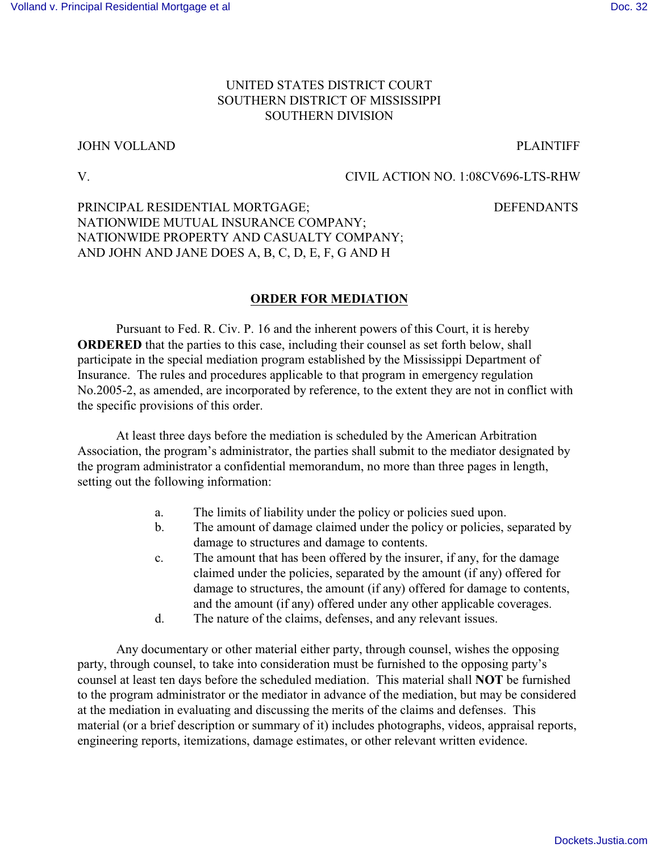## UNITED STATES DISTRICT COURT SOUTHERN DISTRICT OF MISSISSIPPI SOUTHERN DIVISION

#### JOHN VOLLAND PLAINTIFF

#### V. CIVIL ACTION NO. 1:08CV696-LTS-RHW

# PRINCIPAL RESIDENTIAL MORTGAGE; DEFENDANTS NATIONWIDE MUTUAL INSURANCE COMPANY; NATIONWIDE PROPERTY AND CASUALTY COMPANY; AND JOHN AND JANE DOES A, B, C, D, E, F, G AND H

### **ORDER FOR MEDIATION**

Pursuant to Fed. R. Civ. P. 16 and the inherent powers of this Court, it is hereby **ORDERED** that the parties to this case, including their counsel as set forth below, shall participate in the special mediation program established by the Mississippi Department of Insurance. The rules and procedures applicable to that program in emergency regulation No.2005-2, as amended, are incorporated by reference, to the extent they are not in conflict with the specific provisions of this order.

At least three days before the mediation is scheduled by the American Arbitration Association, the program's administrator, the parties shall submit to the mediator designated by the program administrator a confidential memorandum, no more than three pages in length, setting out the following information:

- a. The limits of liability under the policy or policies sued upon.
- b. The amount of damage claimed under the policy or policies, separated by damage to structures and damage to contents.
- c. The amount that has been offered by the insurer, if any, for the damage claimed under the policies, separated by the amount (if any) offered for damage to structures, the amount (if any) offered for damage to contents, and the amount (if any) offered under any other applicable coverages.
- d. The nature of the claims, defenses, and any relevant issues.

Any documentary or other material either party, through counsel, wishes the opposing party, through counsel, to take into consideration must be furnished to the opposing party's counsel at least ten days before the scheduled mediation. This material shall **NOT** be furnished to the program administrator or the mediator in advance of the mediation, but may be considered at the mediation in evaluating and discussing the merits of the claims and defenses. This material (or a brief description or summary of it) includes photographs, videos, appraisal reports, engineering reports, itemizations, damage estimates, or other relevant written evidence.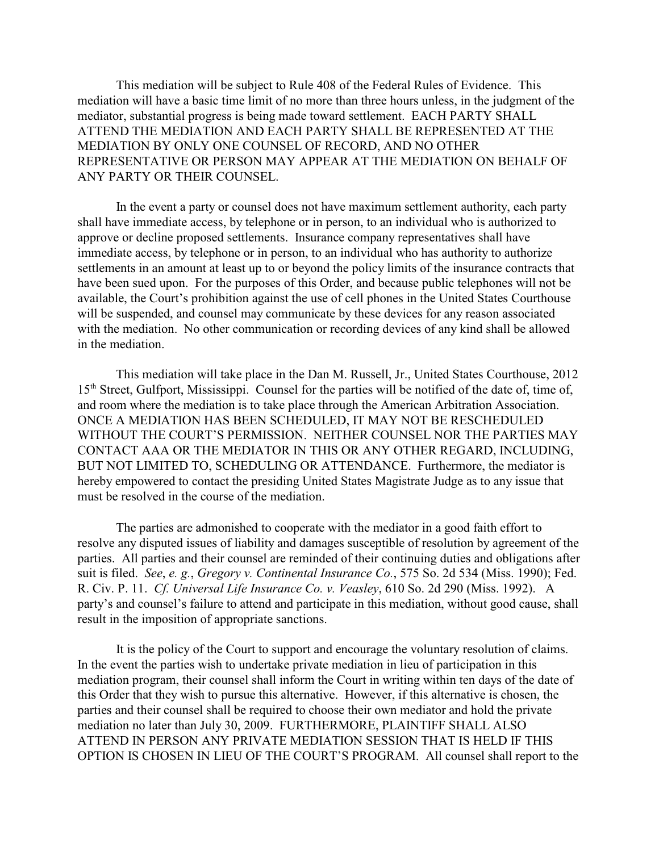This mediation will be subject to Rule 408 of the Federal Rules of Evidence. This mediation will have a basic time limit of no more than three hours unless, in the judgment of the mediator, substantial progress is being made toward settlement. EACH PARTY SHALL ATTEND THE MEDIATION AND EACH PARTY SHALL BE REPRESENTED AT THE MEDIATION BY ONLY ONE COUNSEL OF RECORD, AND NO OTHER REPRESENTATIVE OR PERSON MAY APPEAR AT THE MEDIATION ON BEHALF OF ANY PARTY OR THEIR COUNSEL.

In the event a party or counsel does not have maximum settlement authority, each party shall have immediate access, by telephone or in person, to an individual who is authorized to approve or decline proposed settlements. Insurance company representatives shall have immediate access, by telephone or in person, to an individual who has authority to authorize settlements in an amount at least up to or beyond the policy limits of the insurance contracts that have been sued upon. For the purposes of this Order, and because public telephones will not be available, the Court's prohibition against the use of cell phones in the United States Courthouse will be suspended, and counsel may communicate by these devices for any reason associated with the mediation. No other communication or recording devices of any kind shall be allowed in the mediation.

This mediation will take place in the Dan M. Russell, Jr., United States Courthouse, 2012 15<sup>th</sup> Street, Gulfport, Mississippi. Counsel for the parties will be notified of the date of, time of, and room where the mediation is to take place through the American Arbitration Association. ONCE A MEDIATION HAS BEEN SCHEDULED, IT MAY NOT BE RESCHEDULED WITHOUT THE COURT'S PERMISSION. NEITHER COUNSEL NOR THE PARTIES MAY CONTACT AAA OR THE MEDIATOR IN THIS OR ANY OTHER REGARD, INCLUDING, BUT NOT LIMITED TO, SCHEDULING OR ATTENDANCE. Furthermore, the mediator is hereby empowered to contact the presiding United States Magistrate Judge as to any issue that must be resolved in the course of the mediation.

The parties are admonished to cooperate with the mediator in a good faith effort to resolve any disputed issues of liability and damages susceptible of resolution by agreement of the parties. All parties and their counsel are reminded of their continuing duties and obligations after suit is filed. *See*, *e. g.*, *Gregory v. Continental Insurance Co.*, 575 So. 2d 534 (Miss. 1990); Fed. R. Civ. P. 11. *Cf. Universal Life Insurance Co. v. Veasley*, 610 So. 2d 290 (Miss. 1992). A party's and counsel's failure to attend and participate in this mediation, without good cause, shall result in the imposition of appropriate sanctions.

It is the policy of the Court to support and encourage the voluntary resolution of claims. In the event the parties wish to undertake private mediation in lieu of participation in this mediation program, their counsel shall inform the Court in writing within ten days of the date of this Order that they wish to pursue this alternative. However, if this alternative is chosen, the parties and their counsel shall be required to choose their own mediator and hold the private mediation no later than July 30, 2009. FURTHERMORE, PLAINTIFF SHALL ALSO ATTEND IN PERSON ANY PRIVATE MEDIATION SESSION THAT IS HELD IF THIS OPTION IS CHOSEN IN LIEU OF THE COURT'S PROGRAM. All counsel shall report to the